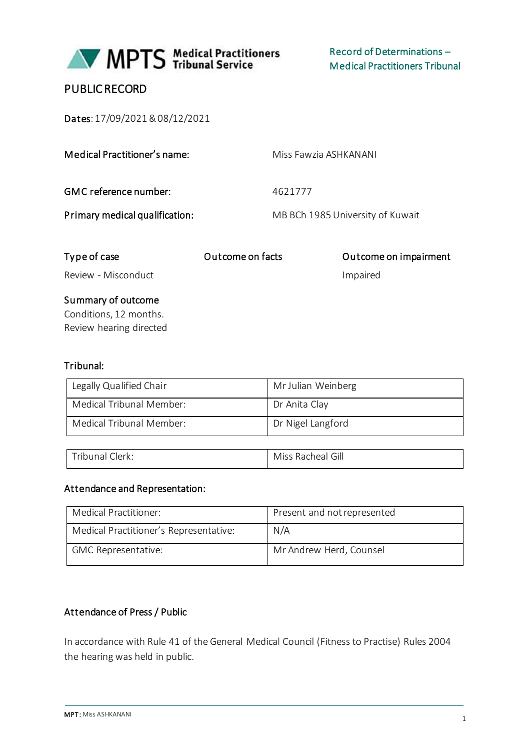

# PUBLIC RECORD

Dates: 17/09/2021 &08/12/2021

Medical Practitioner's name: Miss Fawzia ASHKANANI GMC reference number: 4621777 Primary medical qualification: MB BCh 1985 University of Kuwait

| Type of case            | Outcome on facts | Outcome on impairment |
|-------------------------|------------------|-----------------------|
| Review - Misconduct     |                  | Impaired              |
| Summary of outcome      |                  |                       |
| Conditions, 12 months.  |                  |                       |
| Review hearing directed |                  |                       |

### Tribunal:

| Legally Qualified Chair  | Mr Julian Weinberg |
|--------------------------|--------------------|
| Medical Tribunal Member: | Dr Anita Clay      |
| Medical Tribunal Member: | Dr Nigel Langford  |

| Tribunal<br>Clerk: | Miss Racheal Gill |
|--------------------|-------------------|

#### Attendance and Representation:

| Medical Practitioner:                  | Present and not represented |
|----------------------------------------|-----------------------------|
| Medical Practitioner's Representative: | N/A                         |
| <b>GMC Representative:</b>             | Mr Andrew Herd, Counsel     |

### Attendance of Press / Public

In accordance with Rule 41 of the General Medical Council (Fitness to Practise) Rules 2004 the hearing was held in public.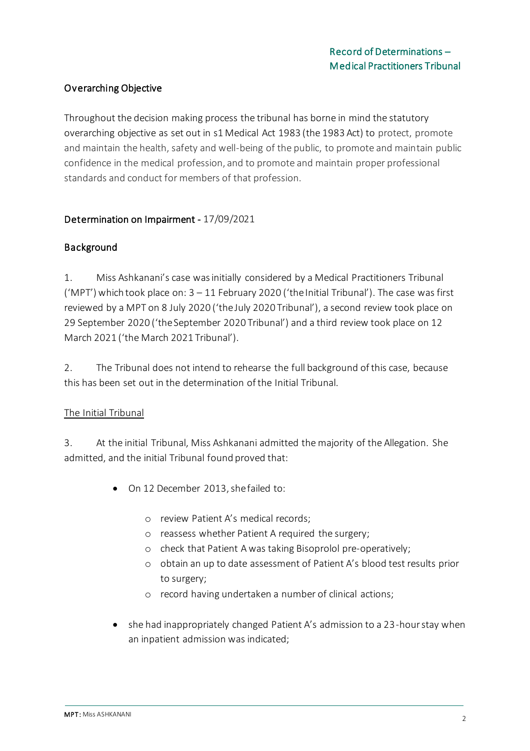## Overarching Objective

Throughout the decision making process the tribunal has borne in mind the statutory overarching objective as set out in s1 Medical Act 1983 (the 1983 Act) to protect, promote and maintain the health, safety and well-being of the public, to promote and maintain public confidence in the medical profession, and to promote and maintain proper professional standards and conduct for members of that profession.

### Determination on Impairment - 17/09/2021

### Background

1. Miss Ashkanani's case was initially considered by a Medical Practitioners Tribunal ('MPT') which took place on: 3 – 11 February 2020 ('the Initial Tribunal'). The case was first reviewed by a MPT on 8 July 2020 ('the July 2020 Tribunal'), a second review took place on 29 September 2020 ('the September 2020 Tribunal') and a third review took place on 12 March 2021 ('the March 2021 Tribunal').

2. The Tribunal does not intend to rehearse the full background of this case, because this has been set out in the determination of the Initial Tribunal.

#### The Initial Tribunal

3. At the initial Tribunal, Miss Ashkanani admitted the majority of the Allegation. She admitted, and the initial Tribunal found proved that:

- On 12 December 2013, she failed to:
	- o review Patient A's medical records;
	- o reassess whether Patient A required the surgery;
	- o check that Patient A was taking Bisoprolol pre-operatively;
	- o obtain an up to date assessment of Patient A's blood test results prior to surgery;
	- o record having undertaken a number of clinical actions;
- she had inappropriately changed Patient A's admission to a 23-hour stay when an inpatient admission was indicated;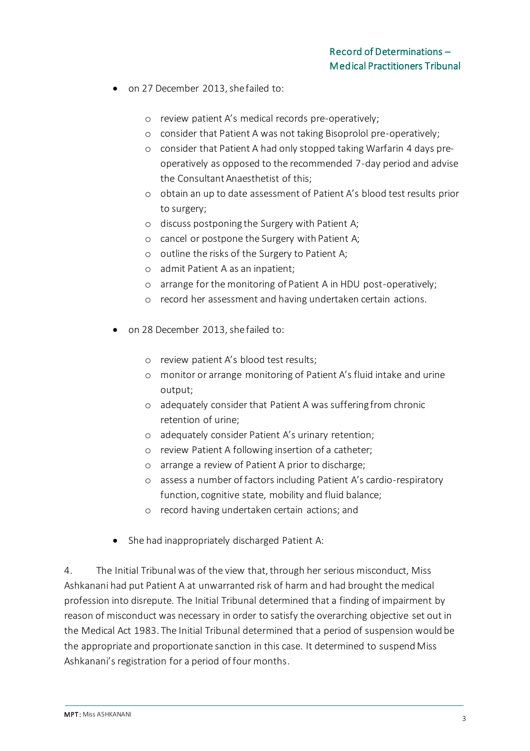- on 27 December 2013, she failed to:
	- o review patient A's medical records pre-operatively;
	- o consider that Patient A was not taking Bisoprolol pre-operatively;
	- o consider that Patient A had only stopped taking Warfarin 4 days preoperatively as opposed to the recommended 7-day period and advise the Consultant Anaesthetist of this;
	- o obtain an up to date assessment of Patient A's blood test results prior to surgery;
	- o discuss postponing the Surgery with Patient A;
	- o cancel or postpone the Surgery with Patient A;
	- o outline the risks of the Surgery to Patient A;
	- o admit Patient A as an inpatient;
	- o arrange for the monitoring of Patient A in HDU post-operatively;
	- o record her assessment and having undertaken certain actions.
- on 28 December 2013, she failed to:
	- o review patient A's blood test results;
	- o monitor or arrange monitoring of Patient A's fluid intake and urine output;
	- o adequately consider that Patient A was suffering from chronic retention of urine;
	- o adequately consider Patient A's urinary retention;
	- o review Patient A following insertion of a catheter;
	- o arrange a review of Patient A prior to discharge;
	- o assess a number of factors including Patient A's cardio-respiratory function, cognitive state, mobility and fluid balance;
	- o record having undertaken certain actions; and
- She had inappropriately discharged Patient A:

4. The Initial Tribunal was of the view that, through her serious misconduct, Miss Ashkanani had put Patient A at unwarranted risk of harm and had brought the medical profession into disrepute. The Initial Tribunal determined that a finding of impairment by reason of misconduct was necessary in order to satisfy the overarching objective set out in the Medical Act 1983. The Initial Tribunal determined that a period of suspension would be the appropriate and proportionate sanction in this case. It determined to suspend Miss Ashkanani's registration for a period of four months.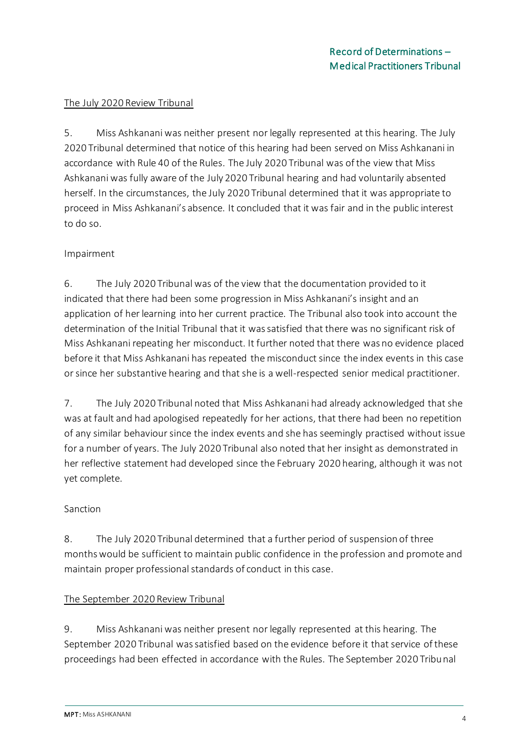#### The July 2020 Review Tribunal

5. Miss Ashkanani was neither present nor legally represented at this hearing. The July 2020 Tribunal determined that notice of this hearing had been served on Miss Ashkanani in accordance with Rule 40 of the Rules. The July 2020 Tribunal was of the view that Miss Ashkanani was fully aware of the July 2020 Tribunal hearing and had voluntarily absented herself. In the circumstances, the July 2020 Tribunal determined that it was appropriate to proceed in Miss Ashkanani's absence. It concluded that it was fair and in the public interest to do so.

#### Impairment

6. The July 2020 Tribunal was of the view that the documentation provided to it indicated that there had been some progression in Miss Ashkanani's insight and an application of her learning into her current practice. The Tribunal also took into account the determination of the Initial Tribunal that it was satisfied that there was no significant risk of Miss Ashkanani repeating her misconduct. It further noted that there was no evidence placed before it that Miss Ashkanani has repeated the misconduct since the index events in this case or since her substantive hearing and that she is a well-respected senior medical practitioner.

7. The July 2020 Tribunal noted that Miss Ashkanani had already acknowledged that she was at fault and had apologised repeatedly for her actions, that there had been no repetition of any similar behaviour since the index events and she has seemingly practised without issue for a number of years. The July 2020 Tribunal also noted that her insight as demonstrated in her reflective statement had developed since the February 2020 hearing, although it was not yet complete.

#### Sanction

8. The July 2020 Tribunal determined that a further period of suspension of three months would be sufficient to maintain public confidence in the profession and promote and maintain proper professional standards of conduct in this case.

#### The September 2020 Review Tribunal

9. Miss Ashkanani was neither present nor legally represented at this hearing. The September 2020 Tribunal was satisfied based on the evidence before it that service of these proceedings had been effected in accordance with the Rules. The September 2020 Tribunal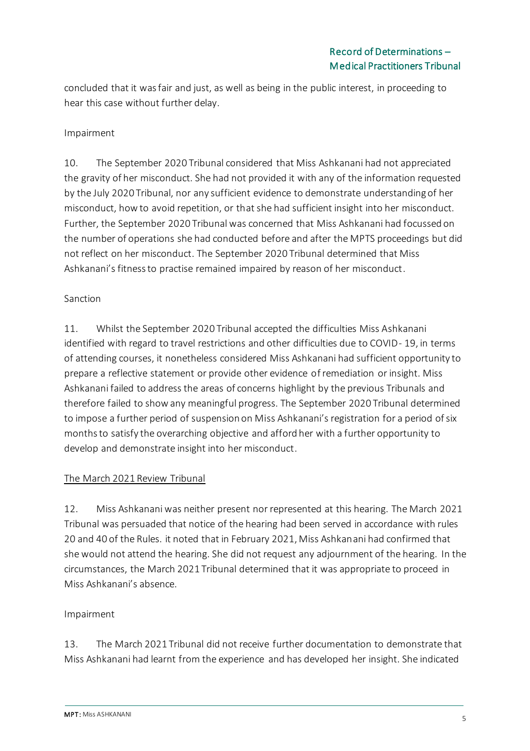concluded that it was fair and just, as well as being in the public interest, in proceeding to hear this case without further delay.

### Impairment

10. The September 2020 Tribunal considered that Miss Ashkanani had not appreciated the gravity of her misconduct. She had not provided it with any of the information requested by the July 2020 Tribunal, nor any sufficient evidence to demonstrate understanding of her misconduct, how to avoid repetition, or that she had sufficient insight into her misconduct. Further, the September 2020 Tribunal was concerned that Miss Ashkanani had focussed on the number of operations she had conducted before and after the MPTS proceedings but did not reflect on her misconduct. The September 2020 Tribunal determined that Miss Ashkanani's fitness to practise remained impaired by reason of her misconduct.

### Sanction

11. Whilst the September 2020 Tribunal accepted the difficulties Miss Ashkanani identified with regard to travel restrictions and other difficulties due to COVID- 19, in terms of attending courses, it nonetheless considered Miss Ashkanani had sufficient opportunity to prepare a reflective statement or provide other evidence of remediation or insight. Miss Ashkanani failed to address the areas of concerns highlight by the previous Tribunals and therefore failed to show any meaningful progress. The September 2020 Tribunal determined to impose a further period of suspension on Miss Ashkanani's registration for a period of six months to satisfy the overarching objective and afford her with a further opportunity to develop and demonstrate insight into her misconduct.

#### The March 2021 Review Tribunal

12. Miss Ashkanani was neither present nor represented at this hearing. The March 2021 Tribunal was persuaded that notice of the hearing had been served in accordance with rules 20 and 40 of the Rules. it noted that in February 2021, Miss Ashkanani had confirmed that she would not attend the hearing. She did not request any adjournment of the hearing. In the circumstances, the March 2021 Tribunal determined that it was appropriate to proceed in Miss Ashkanani's absence.

#### Impairment

13. The March 2021 Tribunal did not receive further documentation to demonstrate that Miss Ashkanani had learnt from the experience and has developed her insight. She indicated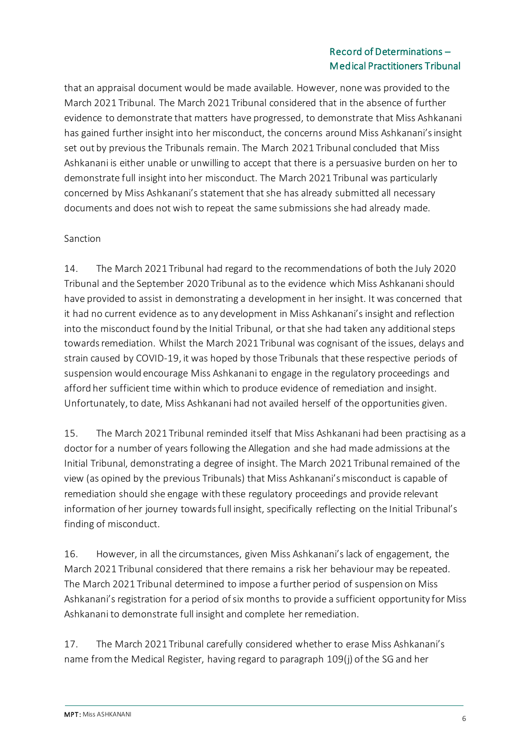that an appraisal document would be made available. However, none was provided to the March 2021 Tribunal. The March 2021 Tribunal considered that in the absence of further evidence to demonstrate that matters have progressed, to demonstrate that Miss Ashkanani has gained further insight into her misconduct, the concerns around Miss Ashkanani's insight set out by previous the Tribunals remain. The March 2021 Tribunal concluded that Miss Ashkanani is either unable or unwilling to accept that there is a persuasive burden on her to demonstrate full insight into her misconduct. The March 2021 Tribunal was particularly concerned by Miss Ashkanani's statement that she has already submitted all necessary documents and does not wish to repeat the same submissions she had already made.

#### Sanction

14. The March 2021 Tribunal had regard to the recommendations of both the July 2020 Tribunal and the September 2020 Tribunal as to the evidence which Miss Ashkanani should have provided to assist in demonstrating a development in her insight. It was concerned that it had no current evidence as to any development in Miss Ashkanani's insight and reflection into the misconduct found by the Initial Tribunal, or that she had taken any additional steps towards remediation. Whilst the March 2021 Tribunal was cognisant of the issues, delays and strain caused by COVID-19, it was hoped by those Tribunals that these respective periods of suspension would encourage Miss Ashkanani to engage in the regulatory proceedings and afford her sufficient time within which to produce evidence of remediation and insight. Unfortunately, to date, Miss Ashkanani had not availed herself of the opportunities given.

15. The March 2021 Tribunal reminded itself that Miss Ashkanani had been practising as a doctor for a number of years following the Allegation and she had made admissions at the Initial Tribunal, demonstrating a degree of insight. The March 2021 Tribunal remained of the view (as opined by the previous Tribunals) that Miss Ashkanani's misconduct is capable of remediation should she engage with these regulatory proceedings and provide relevant information of her journey towards full insight, specifically reflecting on the Initial Tribunal's finding of misconduct.

16. However, in all the circumstances, given Miss Ashkanani's lack of engagement, the March 2021 Tribunal considered that there remains a risk her behaviour may be repeated. The March 2021 Tribunal determined to impose a further period of suspension on Miss Ashkanani's registration for a period of six months to provide a sufficient opportunity for Miss Ashkanani to demonstrate full insight and complete her remediation.

17. The March 2021 Tribunal carefully considered whether to erase Miss Ashkanani's name from the Medical Register, having regard to paragraph 109(j) of the SG and her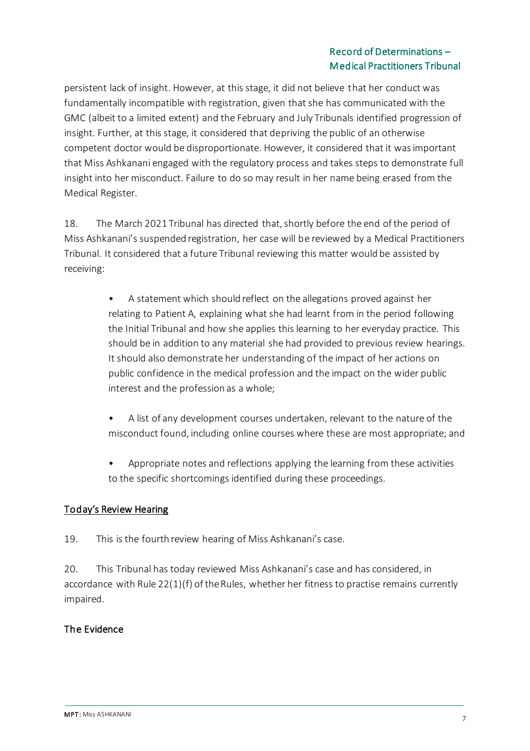persistent lack of insight. However, at this stage, it did not believe that her conduct was fundamentally incompatible with registration, given that she has communicated with the GMC (albeit to a limited extent) and the February and July Tribunals identified progression of insight. Further, at this stage, it considered that depriving the public of an otherwise competent doctor would be disproportionate. However, it considered that it was important that Miss Ashkanani engaged with the regulatory process and takes steps to demonstrate full insight into her misconduct. Failure to do so may result in her name being erased from the Medical Register.

18. The March 2021 Tribunal has directed that, shortly before the end of the period of Miss Ashkanani's suspended registration, her case will be reviewed by a Medical Practitioners Tribunal. It considered that a future Tribunal reviewing this matter would be assisted by receiving:

- A statement which should reflect on the allegations proved against her relating to Patient A, explaining what she had learnt from in the period following the Initial Tribunal and how she applies this learning to her everyday practice. This should be in addition to any material she had provided to previous review hearings. It should also demonstrate her understanding of the impact of her actions on public confidence in the medical profession and the impact on the wider public interest and the profession as a whole;
- A list of any development courses undertaken, relevant to the nature of the misconduct found, including online courses where these are most appropriate; and
- Appropriate notes and reflections applying the learning from these activities to the specific shortcomings identified during these proceedings.

### Today's Review Hearing

19. This is the fourth review hearing of Miss Ashkanani's case.

20. This Tribunal has today reviewed Miss Ashkanani's case and has considered, in accordance with Rule 22(1)(f) of the Rules, whether her fitness to practise remains currently impaired.

### The Evidence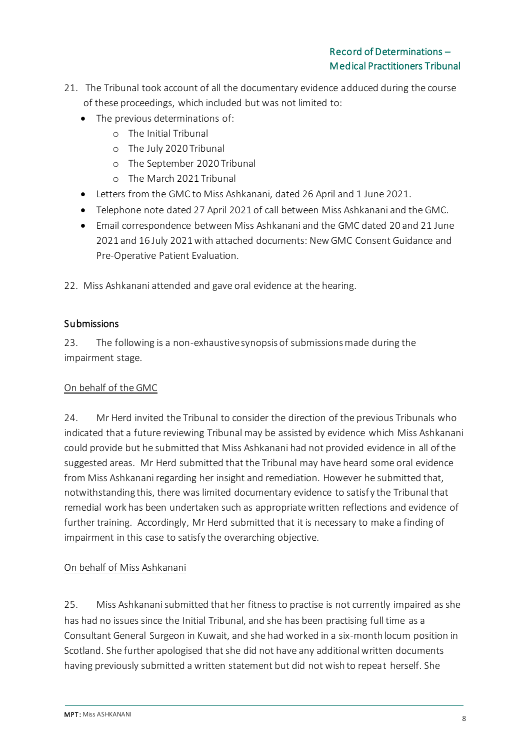- 21. The Tribunal took account of all the documentary evidence adduced during the course of these proceedings, which included but was not limited to:
	- The previous determinations of:
		- o The Initial Tribunal
		- o The July 2020 Tribunal
		- o The September 2020 Tribunal
		- o The March 2021 Tribunal
	- Letters from the GMC to Miss Ashkanani, dated 26 April and 1 June 2021.
	- Telephone note dated 27 April 2021 of call between Miss Ashkanani and the GMC.
	- Email correspondence between Miss Ashkanani and the GMC dated 20 and 21 June 2021 and 16 July 2021 with attached documents: New GMC Consent Guidance and Pre-Operative Patient Evaluation.

22. Miss Ashkanani attended and gave oral evidence at the hearing.

### **Submissions**

23. The following is a non-exhaustive synopsis of submissions made during the impairment stage.

#### On behalf of the GMC

24. Mr Herd invited the Tribunal to consider the direction of the previous Tribunals who indicated that a future reviewing Tribunal may be assisted by evidence which Miss Ashkanani could provide but he submitted that Miss Ashkanani had not provided evidence in all of the suggested areas. Mr Herd submitted that the Tribunal may have heard some oral evidence from Miss Ashkanani regarding her insight and remediation. However he submitted that, notwithstanding this, there was limited documentary evidence to satisfy the Tribunal that remedial work has been undertaken such as appropriate written reflections and evidence of further training. Accordingly, Mr Herd submitted that it is necessary to make a finding of impairment in this case to satisfy the overarching objective.

### On behalf of Miss Ashkanani

25. Miss Ashkanani submitted that her fitness to practise is not currently impaired as she has had no issues since the Initial Tribunal, and she has been practising full time as a Consultant General Surgeon in Kuwait, and she had worked in a six-month locum position in Scotland. She further apologised that she did not have any additional written documents having previously submitted a written statement but did not wish to repeat herself. She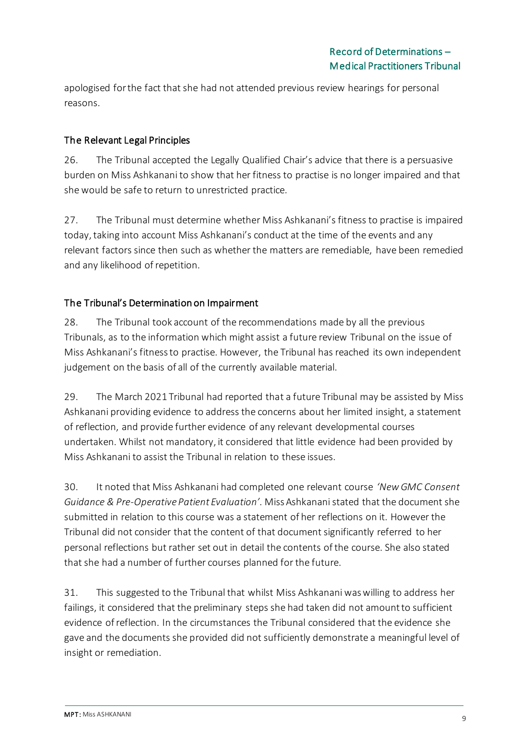apologised for the fact that she had not attended previous review hearings for personal reasons.

## The Relevant Legal Principles

26. The Tribunal accepted the Legally Qualified Chair's advice that there is a persuasive burden on Miss Ashkanani to show that her fitness to practise is no longer impaired and that she would be safe to return to unrestricted practice.

27. The Tribunal must determine whether Miss Ashkanani's fitness to practise is impaired today, taking into account Miss Ashkanani's conduct at the time of the events and any relevant factors since then such as whether the matters are remediable, have been remedied and any likelihood of repetition.

## The Tribunal's Determination on Impairment

28. The Tribunal took account of the recommendations made by all the previous Tribunals, as to the information which might assist a future review Tribunal on the issue of Miss Ashkanani's fitness to practise. However, the Tribunal has reached its own independent judgement on the basis of all of the currently available material.

29. The March 2021 Tribunal had reported that a future Tribunal may be assisted by Miss Ashkanani providing evidence to address the concerns about her limited insight, a statement of reflection, and provide further evidence of any relevant developmental courses undertaken. Whilst not mandatory, it considered that little evidence had been provided by Miss Ashkanani to assist the Tribunal in relation to these issues.

30. It noted that Miss Ashkanani had completed one relevant course *'New GMC Consent Guidance & Pre-Operative Patient Evaluation'.* Miss Ashkanani stated that the document she submitted in relation to this course was a statement of her reflections on it. However the Tribunal did not consider that the content of that document significantly referred to her personal reflections but rather set out in detail the contents of the course. She also stated that she had a number of further courses planned for the future.

31. This suggested to the Tribunal that whilst Miss Ashkanani was willing to address her failings, it considered that the preliminary steps she had taken did not amount to sufficient evidence of reflection. In the circumstances the Tribunal considered that the evidence she gave and the documents she provided did not sufficiently demonstrate a meaningful level of insight or remediation.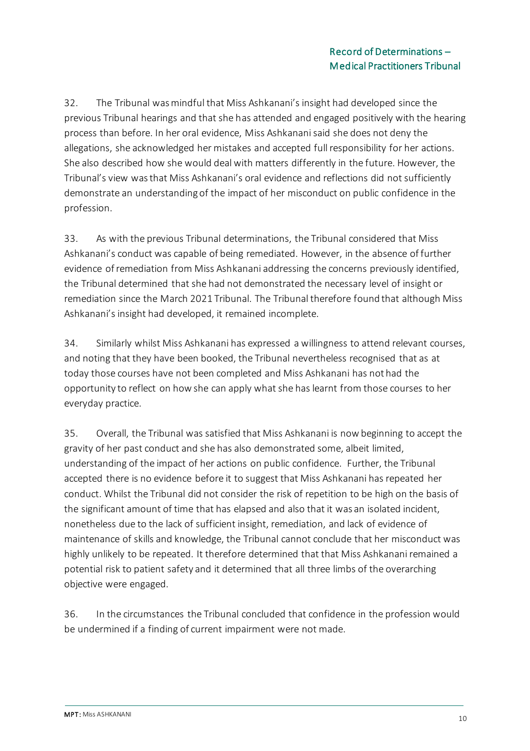32. The Tribunal was mindful that Miss Ashkanani's insight had developed since the previous Tribunal hearings and that she has attended and engaged positively with the hearing process than before. In her oral evidence, Miss Ashkanani said she does not deny the allegations, she acknowledged her mistakes and accepted full responsibility for her actions. She also described how she would deal with matters differently in the future. However, the Tribunal's view was that Miss Ashkanani's oral evidence and reflections did not sufficiently demonstrate an understanding of the impact of her misconduct on public confidence in the profession.

33. As with the previous Tribunal determinations, the Tribunal considered that Miss Ashkanani's conduct was capable of being remediated. However, in the absence of further evidence of remediation from Miss Ashkanani addressing the concerns previously identified, the Tribunal determined that she had not demonstrated the necessary level of insight or remediation since the March 2021 Tribunal. The Tribunal therefore found that although Miss Ashkanani's insight had developed, it remained incomplete.

34. Similarly whilst Miss Ashkanani has expressed a willingness to attend relevant courses, and noting that they have been booked, the Tribunal nevertheless recognised that as at today those courses have not been completed and Miss Ashkanani has not had the opportunity to reflect on how she can apply what she has learnt from those courses to her everyday practice.

35. Overall, the Tribunal was satisfied that Miss Ashkanani is now beginning to accept the gravity of her past conduct and she has also demonstrated some, albeit limited, understanding of the impact of her actions on public confidence. Further, the Tribunal accepted there is no evidence before it to suggest that Miss Ashkanani has repeated her conduct. Whilst the Tribunal did not consider the risk of repetition to be high on the basis of the significant amount of time that has elapsed and also that it was an isolated incident, nonetheless due to the lack of sufficient insight, remediation, and lack of evidence of maintenance of skills and knowledge, the Tribunal cannot conclude that her misconduct was highly unlikely to be repeated. It therefore determined that that Miss Ashkanani remained a potential risk to patient safety and it determined that all three limbs of the overarching objective were engaged.

36. In the circumstances the Tribunal concluded that confidence in the profession would be undermined if a finding of current impairment were not made.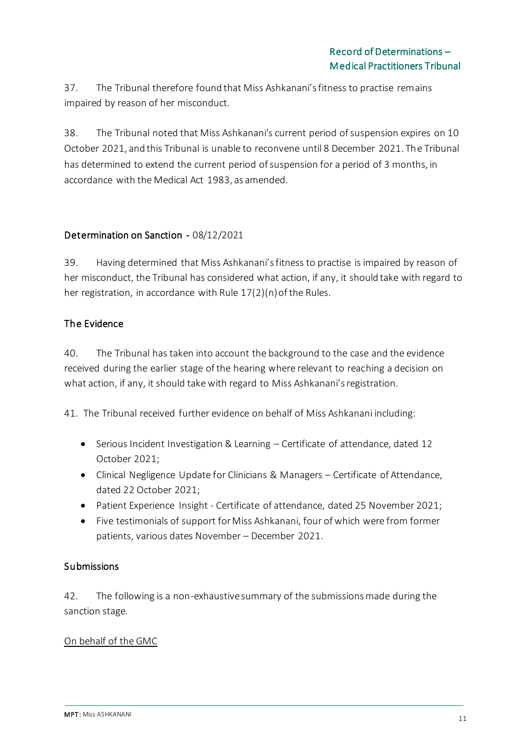37. The Tribunal therefore found that Miss Ashkanani's fitness to practise remains impaired by reason of her misconduct.

38. The Tribunal noted that Miss Ashkanani's current period of suspension expires on 10 October 2021, and this Tribunal is unable to reconvene until 8 December 2021. The Tribunal has determined to extend the current period of suspension for a period of 3 months, in accordance with the Medical Act 1983, as amended.

### Determination on Sanction - 08/12/2021

39. Having determined that Miss Ashkanani's fitness to practise is impaired by reason of her misconduct, the Tribunal has considered what action, if any, it should take with regard to her registration, in accordance with Rule 17(2)(n) of the Rules.

### The Evidence

40. The Tribunal has taken into account the background to the case and the evidence received during the earlier stage of the hearing where relevant to reaching a decision on what action, if any, it should take with regard to Miss Ashkanani's registration.

41. The Tribunal received further evidence on behalf of Miss Ashkanani including:

- Serious Incident Investigation & Learning Certificate of attendance, dated 12 October 2021;
- Clinical Negligence Update for Clinicians & Managers Certificate of Attendance, dated 22 October 2021;
- Patient Experience Insight Certificate of attendance, dated 25 November 2021;
- Five testimonials of support for Miss Ashkanani, four of which were from former patients, various dates November – December 2021.

#### **Submissions**

42. The following is a non-exhaustive summary of the submissions made during the sanction stage.

#### On behalf of the GMC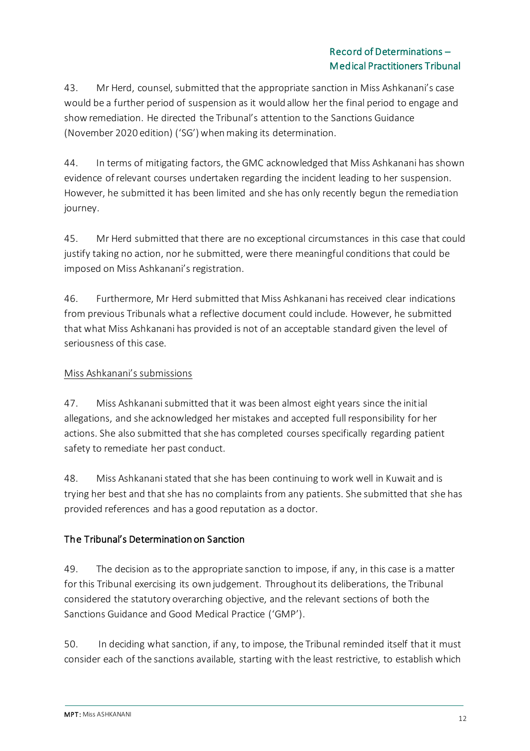43. Mr Herd, counsel, submitted that the appropriate sanction in Miss Ashkanani's case would be a further period of suspension as it would allow her the final period to engage and show remediation. He directed the Tribunal's attention to the Sanctions Guidance (November 2020 edition) ('SG') when making its determination.

44. In terms of mitigating factors, the GMC acknowledged that Miss Ashkanani has shown evidence of relevant courses undertaken regarding the incident leading to her suspension. However, he submitted it has been limited and she has only recently begun the remediation journey.

45. Mr Herd submitted that there are no exceptional circumstances in this case that could justify taking no action, nor he submitted, were there meaningful conditions that could be imposed on Miss Ashkanani's registration.

46. Furthermore, Mr Herd submitted that Miss Ashkanani has received clear indications from previous Tribunals what a reflective document could include. However, he submitted that what Miss Ashkanani has provided is not of an acceptable standard given the level of seriousness of this case.

# Miss Ashkanani's submissions

47. Miss Ashkanani submitted that it was been almost eight years since the initial allegations, and she acknowledged her mistakes and accepted full responsibility for her actions. She also submitted that she has completed courses specifically regarding patient safety to remediate her past conduct.

48. Miss Ashkanani stated that she has been continuing to work well in Kuwait and is trying her best and that she has no complaints from any patients. She submitted that she has provided references and has a good reputation as a doctor.

# The Tribunal's Determination on Sanction

49. The decision as to the appropriate sanction to impose, if any, in this case is a matter for this Tribunal exercising its own judgement. Throughout its deliberations, the Tribunal considered the statutory overarching objective, and the relevant sections of both the Sanctions Guidance and Good Medical Practice ('GMP').

50. In deciding what sanction, if any, to impose, the Tribunal reminded itself that it must consider each of the sanctions available, starting with the least restrictive, to establish which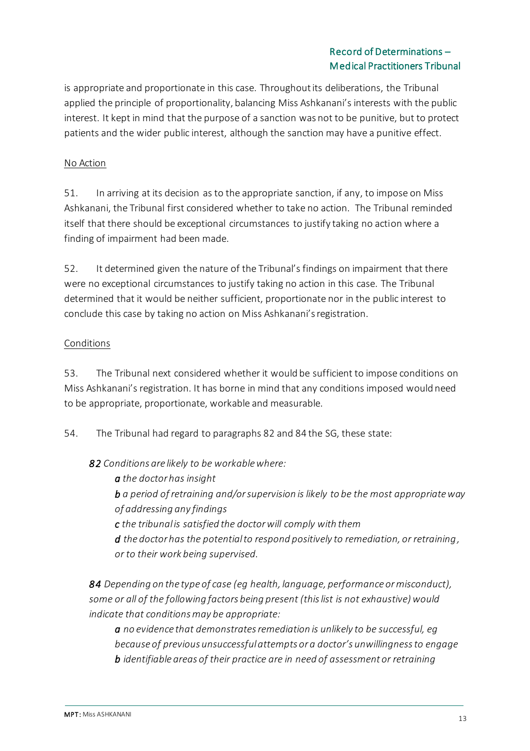is appropriate and proportionate in this case. Throughout its deliberations, the Tribunal applied the principle of proportionality, balancing Miss Ashkanani's interests with the public interest. It kept in mind that the purpose of a sanction was not to be punitive, but to protect patients and the wider public interest, although the sanction may have a punitive effect.

### No Action

51. In arriving at its decision as to the appropriate sanction, if any, to impose on Miss Ashkanani, the Tribunal first considered whether to take no action. The Tribunal reminded itself that there should be exceptional circumstances to justify taking no action where a finding of impairment had been made.

52. It determined given the nature of the Tribunal's findings on impairment that there were no exceptional circumstances to justify taking no action in this case. The Tribunal determined that it would be neither sufficient, proportionate nor in the public interest to conclude this case by taking no action on Miss Ashkanani's registration.

#### Conditions

53. The Tribunal next considered whether it would be sufficient to impose conditions on Miss Ashkanani's registration. It has borne in mind that any conditions imposed would need to be appropriate, proportionate, workable and measurable.

54. The Tribunal had regard to paragraphs 82 and 84 the SG, these state:

*82 Conditions are likely to be workable where:* 

*a the doctor has insight* 

*b a period of retraining and/or supervision is likely to be the most appropriate way of addressing any findings* 

*c the tribunal is satisfied the doctor will comply with them* 

*d the doctor has the potential to respond positively to remediation, or retraining, or to their work being supervised.*

*84 Depending on the type of case (eg health, language, performance or misconduct), some or all of the following factors being present (this list is not exhaustive) would indicate that conditions may be appropriate:*

*a no evidence that demonstrates remediation is unlikely to be successful, eg because of previous unsuccessful attempts or a doctor's unwillingness to engage b identifiable areas of their practice are in need of assessment or retraining*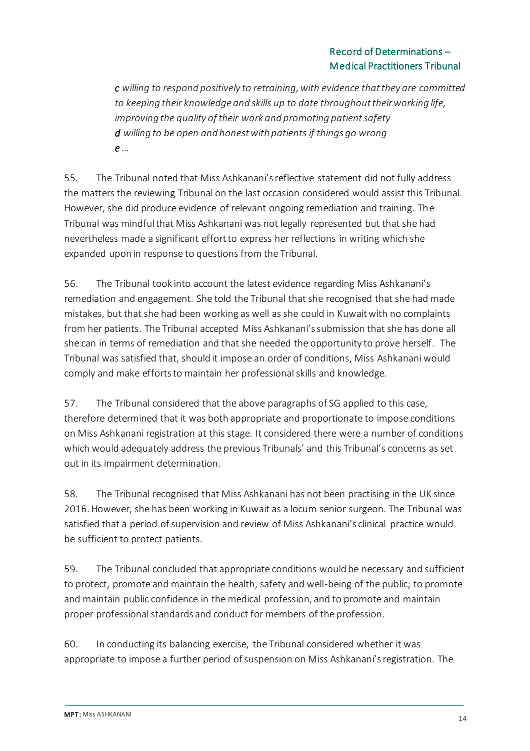*c willing to respond positively to retraining, with evidence that they are committed to keeping their knowledge and skills up to date throughout their working life, improving the quality of their work and promoting patient safety d willing to be open and honest with patients if things go wrong e …*

55. The Tribunal noted that Miss Ashkanani's reflective statement did not fully address the matters the reviewing Tribunal on the last occasion considered would assist this Tribunal. However, she did produce evidence of relevant ongoing remediation and training. The Tribunal was mindful that Miss Ashkanani was not legally represented but that she had nevertheless made a significant effort to express her reflections in writing which she expanded upon in response to questions from the Tribunal.

56. The Tribunal took into account the latest evidence regarding Miss Ashkanani's remediation and engagement. She told the Tribunal that she recognised that she had made mistakes, but that she had been working as well as she could in Kuwait with no complaints from her patients. The Tribunal accepted Miss Ashkanani's submission that she has done all she can in terms of remediation and that she needed the opportunity to prove herself. The Tribunal was satisfied that, should it impose an order of conditions, Miss Ashkanani would comply and make efforts to maintain her professional skills and knowledge.

57. The Tribunal considered that the above paragraphs of SG applied to this case, therefore determined that it was both appropriate and proportionate to impose conditions on Miss Ashkanani registration at this stage. It considered there were a number of conditions which would adequately address the previous Tribunals' and this Tribunal's concerns as set out in its impairment determination.

58. The Tribunal recognised that Miss Ashkanani has not been practising in the UK since 2016. However, she has been working in Kuwait as a locum senior surgeon. The Tribunal was satisfied that a period of supervision and review of Miss Ashkanani's clinical practice would be sufficient to protect patients.

59. The Tribunal concluded that appropriate conditions would be necessary and sufficient to protect, promote and maintain the health, safety and well-being of the public; to promote and maintain public confidence in the medical profession, and to promote and maintain proper professional standards and conduct for members of the profession.

60. In conducting its balancing exercise, the Tribunal considered whether it was appropriate to impose a further period of suspension on Miss Ashkanani's registration. The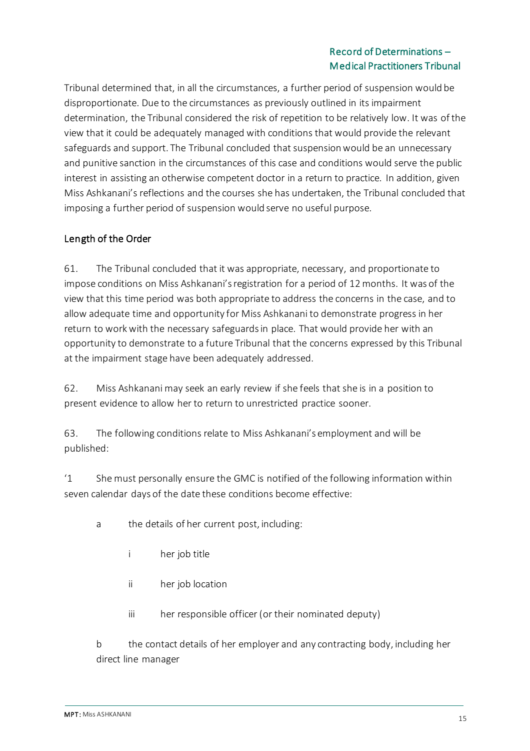Tribunal determined that, in all the circumstances, a further period of suspension would be disproportionate. Due to the circumstances as previously outlined in its impairment determination, the Tribunal considered the risk of repetition to be relatively low. It was of the view that it could be adequately managed with conditions that would provide the relevant safeguards and support. The Tribunal concluded that suspension would be an unnecessary and punitive sanction in the circumstances of this case and conditions would serve the public interest in assisting an otherwise competent doctor in a return to practice. In addition, given Miss Ashkanani's reflections and the courses she has undertaken, the Tribunal concluded that imposing a further period of suspension would serve no useful purpose.

### Length of the Order

61. The Tribunal concluded that it was appropriate, necessary, and proportionate to impose conditions on Miss Ashkanani's registration for a period of 12 months. It was of the view that this time period was both appropriate to address the concerns in the case, and to allow adequate time and opportunity for Miss Ashkanani to demonstrate progress in her return to work with the necessary safeguards in place. That would provide her with an opportunity to demonstrate to a future Tribunal that the concerns expressed by this Tribunal at the impairment stage have been adequately addressed.

62. Miss Ashkanani may seek an early review if she feels that she is in a position to present evidence to allow her to return to unrestricted practice sooner.

63. The following conditions relate to Miss Ashkanani's employment and will be published:

'1 She must personally ensure the GMC is notified of the following information within seven calendar days of the date these conditions become effective:

- a the details of her current post, including:
	- i her job title
	- ii her job location
	- iii her responsible officer (or their nominated deputy)

b the contact details of her employer and any contracting body, including her direct line manager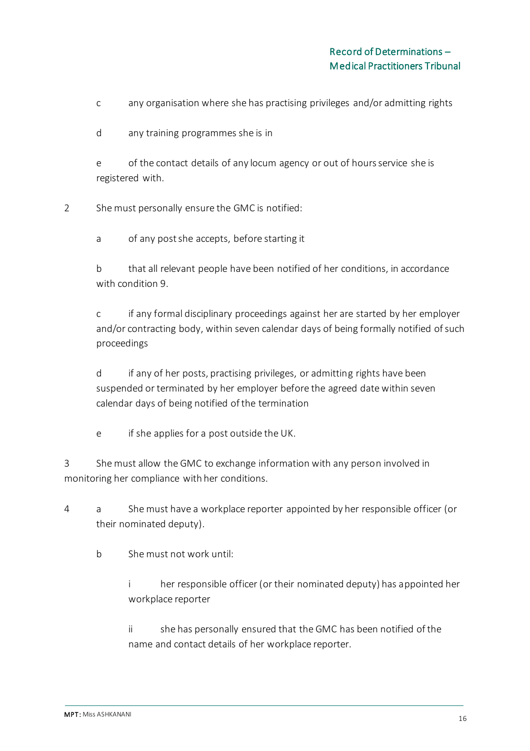c any organisation where she has practising privileges and/or admitting rights

d any training programmes she is in

e of the contact details of any locum agency or out of hours service she is registered with.

2 She must personally ensure the GMC is notified:

a of any post she accepts, before starting it

b that all relevant people have been notified of her conditions, in accordance with condition 9.

c if any formal disciplinary proceedings against her are started by her employer and/or contracting body, within seven calendar days of being formally notified of such proceedings

d if any of her posts, practising privileges, or admitting rights have been suspended or terminated by her employer before the agreed date within seven calendar days of being notified of the termination

e if she applies for a post outside the UK.

3 She must allow the GMC to exchange information with any person involved in monitoring her compliance with her conditions.

4 a She must have a workplace reporter appointed by her responsible officer (or their nominated deputy).

b She must not work until:

i her responsible officer (or their nominated deputy) has appointed her workplace reporter

ii she has personally ensured that the GMC has been notified of the name and contact details of her workplace reporter.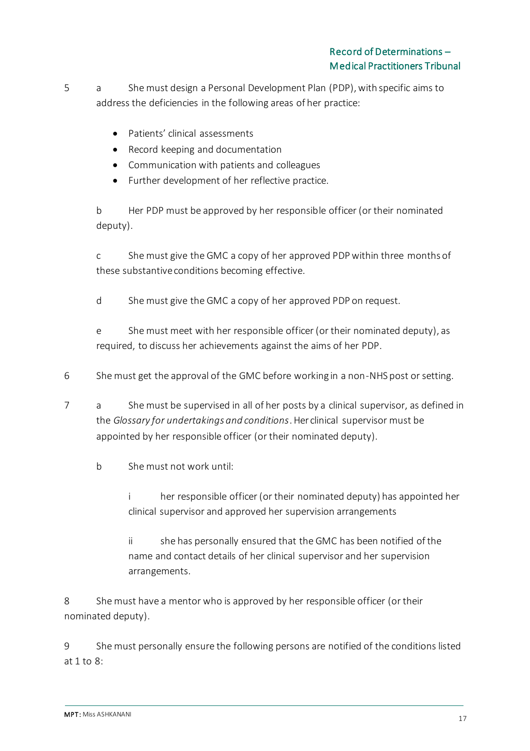5 a She must design a Personal Development Plan (PDP), with specific aims to address the deficiencies in the following areas of her practice:

- Patients' clinical assessments
- Record keeping and documentation
- Communication with patients and colleagues
- Further development of her reflective practice.

b Her PDP must be approved by her responsible officer (or their nominated deputy).

c She must give the GMC a copy of her approved PDP within three months of these substantive conditions becoming effective.

d She must give the GMC a copy of her approved PDP on request.

e She must meet with her responsible officer (or their nominated deputy), as required, to discuss her achievements against the aims of her PDP.

6 She must get the approval of the GMC before working in a non-NHS post or setting.

- 7 a She must be supervised in all of her posts by a clinical supervisor, as defined in the *Glossary for undertakings and conditions*. Her clinical supervisor must be appointed by her responsible officer (or their nominated deputy).
	- b She must not work until:
		- i her responsible officer (or their nominated deputy) has appointed her clinical supervisor and approved her supervision arrangements
		- ii she has personally ensured that the GMC has been notified of the name and contact details of her clinical supervisor and her supervision arrangements.

8 She must have a mentor who is approved by her responsible officer (or their nominated deputy).

9 She must personally ensure the following persons are notified of the conditions listed at 1 to 8: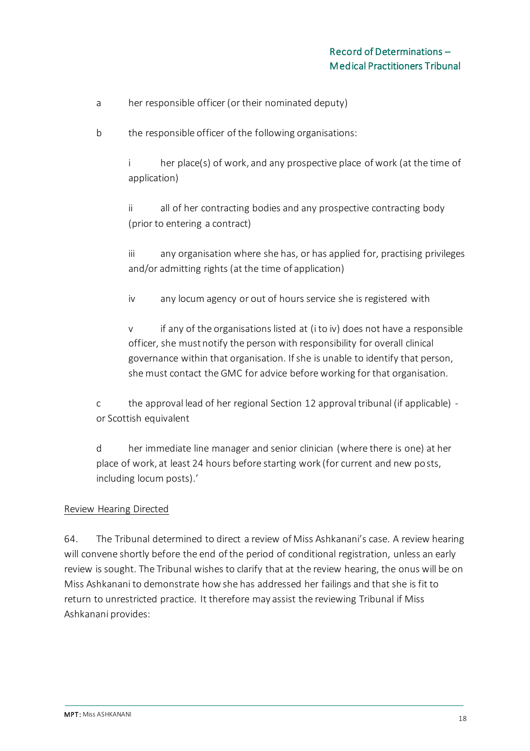- a her responsible officer (or their nominated deputy)
- b the responsible officer of the following organisations:

i her place(s) of work, and any prospective place of work (at the time of application)

ii all of her contracting bodies and any prospective contracting body (prior to entering a contract)

iii any organisation where she has, or has applied for, practising privileges and/or admitting rights (at the time of application)

iv any locum agency or out of hours service she is registered with

v if any of the organisations listed at (i to iv) does not have a responsible officer, she must notify the person with responsibility for overall clinical governance within that organisation. If she is unable to identify that person, she must contact the GMC for advice before working for that organisation.

c the approval lead of her regional Section 12 approval tribunal (if applicable) or Scottish equivalent

d her immediate line manager and senior clinician (where there is one) at her place of work, at least 24 hours before starting work (for current and new posts, including locum posts).'

#### Review Hearing Directed

64. The Tribunal determined to direct a review of Miss Ashkanani's case. A review hearing will convene shortly before the end of the period of conditional registration, unless an early review is sought. The Tribunal wishes to clarify that at the review hearing, the onus will be on Miss Ashkanani to demonstrate how she has addressed her failings and that she is fit to return to unrestricted practice. It therefore may assist the reviewing Tribunal if Miss Ashkanani provides: